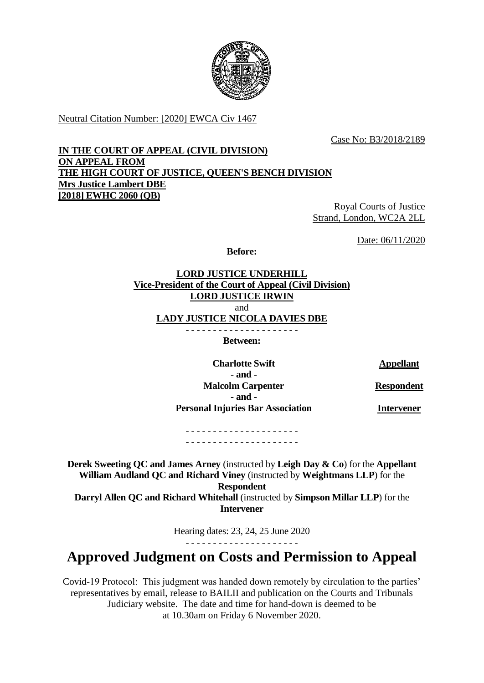

Neutral Citation Number: [2020] EWCA Civ 1467

Case No: B3/2018/2189

## **IN THE COURT OF APPEAL (CIVIL DIVISION) ON APPEAL FROM THE HIGH COURT OF JUSTICE, QUEEN'S BENCH DIVISION Mrs Justice Lambert DBE [2018] EWHC 2060 (QB)**

Royal Courts of Justice Strand, London, WC2A 2LL

Date: 06/11/2020

**Before:**

**LORD JUSTICE UNDERHILL Vice-President of the Court of Appeal (Civil Division) LORD JUSTICE IRWIN** and **LADY JUSTICE NICOLA DAVIES DBE**

**Between:**

**Charlotte Swift Appellant - and - Malcolm Carpenter - and - Personal Injuries Bar Association**

**Respondent**

**Intervener**

- - - - - - - - - - - - - - - - - - - - - - - - - - - - - - - - - - - - - - - - - -

**Derek Sweeting QC and James Arney** (instructed by **Leigh Day & Co**) for the **Appellant William Audland QC and Richard Viney** (instructed by **Weightmans LLP**) for the **Respondent Darryl Allen QC and Richard Whitehall** (instructed by **Simpson Millar LLP**) for the **Intervener**

Hearing dates: 23, 24, 25 June 2020

- - - - - - - - - - - - - - - - - - - - -

## **Approved Judgment on Costs and Permission to Appeal**

Covid-19 Protocol: This judgment was handed down remotely by circulation to the parties' representatives by email, release to BAILII and publication on the Courts and Tribunals Judiciary website. The date and time for hand-down is deemed to be at 10.30am on Friday 6 November 2020.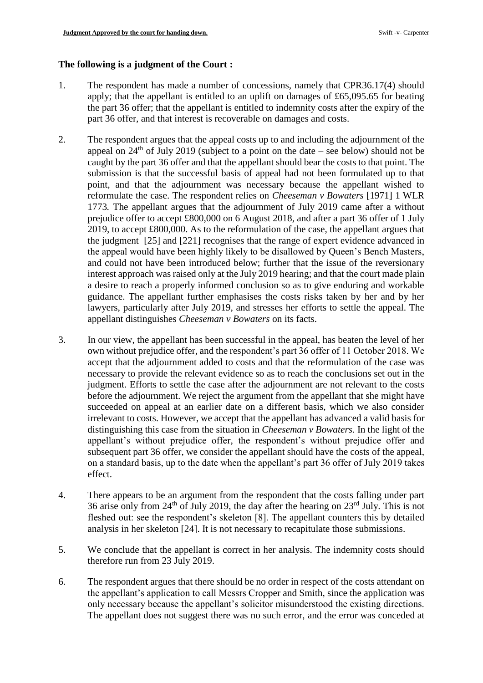## **The following is a judgment of the Court :**

- 1. The respondent has made a number of concessions, namely that CPR36.17(4) should apply; that the appellant is entitled to an uplift on damages of £65,095.65 for beating the part 36 offer; that the appellant is entitled to indemnity costs after the expiry of the part 36 offer, and that interest is recoverable on damages and costs.
- 2. The respondent argues that the appeal costs up to and including the adjournment of the appeal on  $24<sup>th</sup>$  of July 2019 (subject to a point on the date – see below) should not be caught by the part 36 offer and that the appellant should bear the costs to that point. The submission is that the successful basis of appeal had not been formulated up to that point, and that the adjournment was necessary because the appellant wished to reformulate the case. The respondent relies on *Cheeseman v Bowaters* [1971] 1 WLR 1773*.* The appellant argues that the adjournment of July 2019 came after a without prejudice offer to accept £800,000 on 6 August 2018, and after a part 36 offer of 1 July 2019, to accept £800,000. As to the reformulation of the case, the appellant argues that the judgment [25] and [221] recognises that the range of expert evidence advanced in the appeal would have been highly likely to be disallowed by Queen's Bench Masters, and could not have been introduced below; further that the issue of the reversionary interest approach was raised only at the July 2019 hearing; and that the court made plain a desire to reach a properly informed conclusion so as to give enduring and workable guidance. The appellant further emphasises the costs risks taken by her and by her lawyers, particularly after July 2019, and stresses her efforts to settle the appeal. The appellant distinguishes *Cheeseman v Bowaters* on its facts.
- 3. In our view, the appellant has been successful in the appeal, has beaten the level of her own without prejudice offer, and the respondent's part 36 offer of 11 October 2018. We accept that the adjournment added to costs and that the reformulation of the case was necessary to provide the relevant evidence so as to reach the conclusions set out in the judgment. Efforts to settle the case after the adjournment are not relevant to the costs before the adjournment. We reject the argument from the appellant that she might have succeeded on appeal at an earlier date on a different basis, which we also consider irrelevant to costs. However, we accept that the appellant has advanced a valid basis for distinguishing this case from the situation in *Cheeseman v Bowaters.* In the light of the appellant's without prejudice offer, the respondent's without prejudice offer and subsequent part 36 offer, we consider the appellant should have the costs of the appeal, on a standard basis, up to the date when the appellant's part 36 offer of July 2019 takes effect.
- 4. There appears to be an argument from the respondent that the costs falling under part 36 arise only from  $24<sup>th</sup>$  of July 2019, the day after the hearing on  $23<sup>rd</sup>$  July. This is not fleshed out: see the respondent's skeleton [8]. The appellant counters this by detailed analysis in her skeleton [24]. It is not necessary to recapitulate those submissions.
- 5. We conclude that the appellant is correct in her analysis. The indemnity costs should therefore run from 23 July 2019.
- 6. The responden**t** argues that there should be no order in respect of the costs attendant on the appellant's application to call Messrs Cropper and Smith, since the application was only necessary because the appellant's solicitor misunderstood the existing directions. The appellant does not suggest there was no such error, and the error was conceded at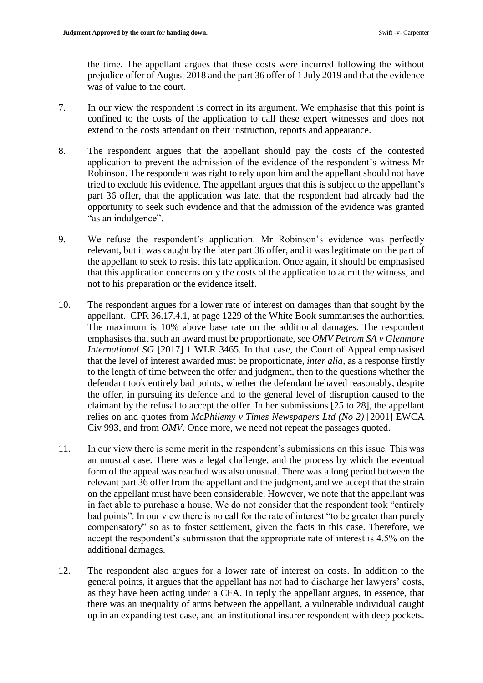the time. The appellant argues that these costs were incurred following the without prejudice offer of August 2018 and the part 36 offer of 1 July 2019 and that the evidence was of value to the court.

- 7. In our view the respondent is correct in its argument. We emphasise that this point is confined to the costs of the application to call these expert witnesses and does not extend to the costs attendant on their instruction, reports and appearance.
- 8. The respondent argues that the appellant should pay the costs of the contested application to prevent the admission of the evidence of the respondent's witness Mr Robinson. The respondent was right to rely upon him and the appellant should not have tried to exclude his evidence. The appellant argues that this is subject to the appellant's part 36 offer, that the application was late, that the respondent had already had the opportunity to seek such evidence and that the admission of the evidence was granted "as an indulgence".
- 9. We refuse the respondent's application. Mr Robinson's evidence was perfectly relevant, but it was caught by the later part 36 offer, and it was legitimate on the part of the appellant to seek to resist this late application. Once again, it should be emphasised that this application concerns only the costs of the application to admit the witness, and not to his preparation or the evidence itself.
- 10. The respondent argues for a lower rate of interest on damages than that sought by the appellant. CPR 36.17.4.1, at page 1229 of the White Book summarises the authorities. The maximum is 10% above base rate on the additional damages. The respondent emphasises that such an award must be proportionate, see *OMV Petrom SA v Glenmore International SG* [2017] 1 WLR 3465. In that case, the Court of Appeal emphasised that the level of interest awarded must be proportionate, *inter alia,* as a response firstly to the length of time between the offer and judgment, then to the questions whether the defendant took entirely bad points, whether the defendant behaved reasonably, despite the offer, in pursuing its defence and to the general level of disruption caused to the claimant by the refusal to accept the offer. In her submissions [25 to 28], the appellant relies on and quotes from *McPhilemy v Times Newspapers Ltd (No 2)* [2001] EWCA Civ 993, and from *OMV.* Once more*,* we need not repeat the passages quoted.
- 11. In our view there is some merit in the respondent's submissions on this issue. This was an unusual case. There was a legal challenge, and the process by which the eventual form of the appeal was reached was also unusual. There was a long period between the relevant part 36 offer from the appellant and the judgment, and we accept that the strain on the appellant must have been considerable. However, we note that the appellant was in fact able to purchase a house. We do not consider that the respondent took "entirely bad points". In our view there is no call for the rate of interest "to be greater than purely compensatory" so as to foster settlement, given the facts in this case. Therefore, we accept the respondent's submission that the appropriate rate of interest is 4.5% on the additional damages.
- 12. The respondent also argues for a lower rate of interest on costs. In addition to the general points, it argues that the appellant has not had to discharge her lawyers' costs, as they have been acting under a CFA. In reply the appellant argues, in essence, that there was an inequality of arms between the appellant, a vulnerable individual caught up in an expanding test case, and an institutional insurer respondent with deep pockets.